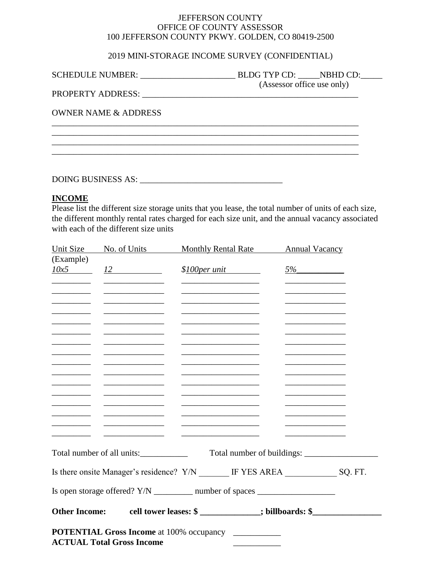## JEFFERSON COUNTY OFFICE OF COUNTY ASSESSOR 100 JEFFERSON COUNTY PKWY. GOLDEN, CO 80419-2500

## 2019 MINI-STORAGE INCOME SURVEY (CONFIDENTIAL)

\_\_\_\_\_\_\_\_\_\_\_\_\_\_\_\_\_\_\_\_\_\_\_\_\_\_\_\_\_\_\_\_\_\_\_\_\_\_\_\_\_\_\_\_\_\_\_\_\_\_\_\_\_\_\_\_\_\_\_\_\_\_\_\_\_\_\_\_\_\_\_

| <b>SCHEDULE NUMBER:</b> | <b>BLDG TYP CD:</b>        | NBHD CD: |  |
|-------------------------|----------------------------|----------|--|
|                         | (Assessor office use only) |          |  |

PROPERTY ADDRESS: \_\_\_\_\_\_\_\_\_\_\_\_\_\_\_\_\_\_\_\_\_\_\_\_\_\_\_\_\_\_\_\_\_\_\_\_\_\_\_\_\_\_\_\_\_\_\_\_\_\_

\_\_\_\_\_\_\_\_\_\_\_\_\_\_\_\_\_\_\_\_\_\_\_\_\_\_\_\_\_\_\_\_\_\_\_\_\_\_\_\_\_\_\_\_\_\_\_\_\_\_\_\_\_\_\_\_\_\_\_\_\_\_\_\_\_\_\_\_\_\_\_ \_\_\_\_\_\_\_\_\_\_\_\_\_\_\_\_\_\_\_\_\_\_\_\_\_\_\_\_\_\_\_\_\_\_\_\_\_\_\_\_\_\_\_\_\_\_\_\_\_\_\_\_\_\_\_\_\_\_\_\_\_\_\_\_\_\_\_\_\_\_\_

OWNER NAME & ADDRESS

DOING BUSINESS AS: \_\_\_\_\_\_\_\_\_\_\_\_\_\_\_\_\_\_\_\_\_\_\_\_\_\_\_\_\_\_\_\_\_

## **INCOME**

Please list the different size storage units that you lease, the total number of units of each size, the different monthly rental rates charged for each size unit, and the annual vacancy associated with each of the different size units

| Unit Size                | No. of Units                                                                                                          | <b>Monthly Rental Rate</b>                                                                | <b>Annual Vacancy</b>                        |  |
|--------------------------|-----------------------------------------------------------------------------------------------------------------------|-------------------------------------------------------------------------------------------|----------------------------------------------|--|
| (Example)                |                                                                                                                       |                                                                                           |                                              |  |
| $\frac{10x5}{x}$         | 12                                                                                                                    | \$100 per unit                                                                            | $5\%$                                        |  |
|                          |                                                                                                                       |                                                                                           |                                              |  |
|                          |                                                                                                                       |                                                                                           |                                              |  |
| $\overline{\phantom{a}}$ |                                                                                                                       |                                                                                           |                                              |  |
|                          |                                                                                                                       |                                                                                           |                                              |  |
|                          |                                                                                                                       |                                                                                           |                                              |  |
|                          | <u> 1989 - Johann John Hermann, markt for de format en de format en de format en de format en de format en de for</u> | <u> 1989 - Johann John Harry Barbara, mars an t-Amerikaansk ferhandelse (</u>             |                                              |  |
|                          |                                                                                                                       |                                                                                           |                                              |  |
|                          |                                                                                                                       |                                                                                           |                                              |  |
|                          | <u> 1989 - Johann Barn, mars ann an t-</u>                                                                            | the control of the control of the control of the control of the control of                | the control of the control of the control of |  |
|                          |                                                                                                                       |                                                                                           |                                              |  |
|                          |                                                                                                                       |                                                                                           |                                              |  |
|                          | <u> 1990 - Johann Barbara, martin a</u>                                                                               |                                                                                           |                                              |  |
|                          | <u> 1989 - Johann Barn, mars eta bainar eta i</u>                                                                     | <u> 1989 - Johann John Hermann, mars an Islam (b. 1989)</u>                               |                                              |  |
|                          |                                                                                                                       |                                                                                           |                                              |  |
|                          | Total number of all units:                                                                                            |                                                                                           |                                              |  |
|                          |                                                                                                                       | Is there onsite Manager's residence? Y/N ______ IF YES AREA _____________________ SQ. FT. |                                              |  |
|                          |                                                                                                                       | Is open storage offered? Y/N ___________ number of spaces ______________________          |                                              |  |
|                          |                                                                                                                       | Other Income: cell tower leases: \$ __________; billboards: \$ ____________________       |                                              |  |
|                          | <b>ACTUAL Total Gross Income</b>                                                                                      | <b>POTENTIAL Gross Income at 100% occupancy</b>                                           |                                              |  |